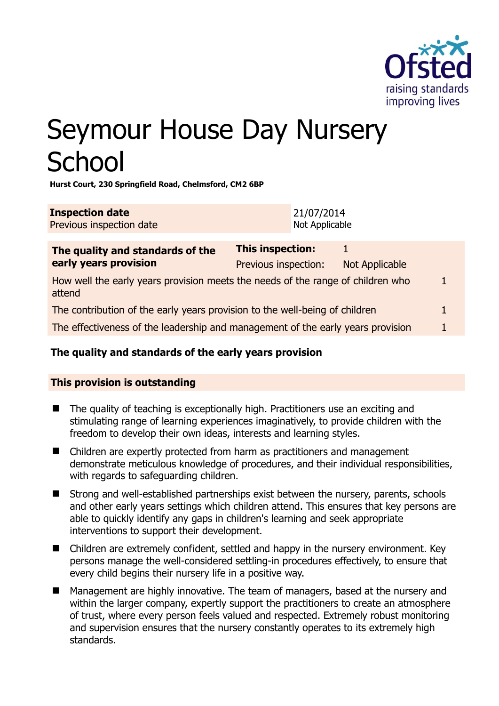

# Seymour House Day Nursery **School**

**Hurst Court, 230 Springfield Road, Chelmsford, CM2 6BP** 

| <b>Inspection date</b>   | 21/07/2014     |
|--------------------------|----------------|
| Previous inspection date | Not Applicable |

| The quality and standards of the                                                          | <b>This inspection:</b> |                |  |
|-------------------------------------------------------------------------------------------|-------------------------|----------------|--|
| early years provision                                                                     | Previous inspection:    | Not Applicable |  |
| How well the early years provision meets the needs of the range of children who<br>attend |                         |                |  |
| The contribution of the early years provision to the well-being of children               |                         |                |  |
| The effectiveness of the leadership and management of the early years provision           |                         |                |  |
|                                                                                           |                         |                |  |

# **The quality and standards of the early years provision**

# **This provision is outstanding**

- $\blacksquare$  The quality of teaching is exceptionally high. Practitioners use an exciting and stimulating range of learning experiences imaginatively, to provide children with the freedom to develop their own ideas, interests and learning styles.
- Children are expertly protected from harm as practitioners and management demonstrate meticulous knowledge of procedures, and their individual responsibilities, with regards to safeguarding children.
- Strong and well-established partnerships exist between the nursery, parents, schools and other early years settings which children attend. This ensures that key persons are able to quickly identify any gaps in children's learning and seek appropriate interventions to support their development.
- Children are extremely confident, settled and happy in the nursery environment. Key persons manage the well-considered settling-in procedures effectively, to ensure that every child begins their nursery life in a positive way.
- Management are highly innovative. The team of managers, based at the nursery and within the larger company, expertly support the practitioners to create an atmosphere of trust, where every person feels valued and respected. Extremely robust monitoring and supervision ensures that the nursery constantly operates to its extremely high standards.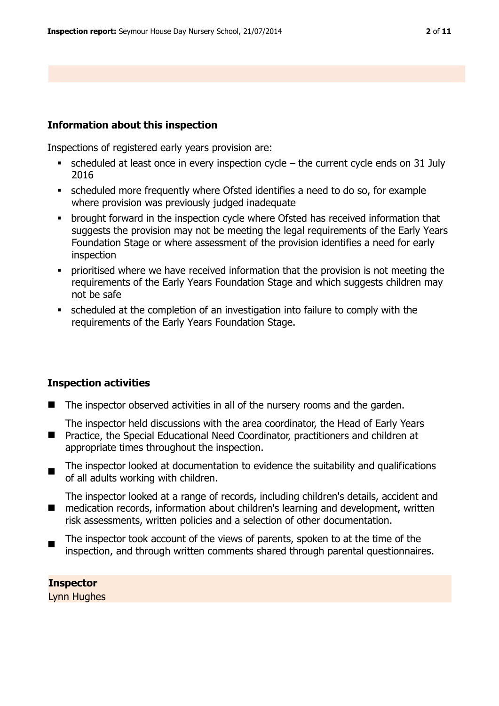#### **Information about this inspection**

Inspections of registered early years provision are:

- scheduled at least once in every inspection cycle the current cycle ends on 31 July 2016
- scheduled more frequently where Ofsted identifies a need to do so, for example where provision was previously judged inadequate
- brought forward in the inspection cycle where Ofsted has received information that suggests the provision may not be meeting the legal requirements of the Early Years Foundation Stage or where assessment of the provision identifies a need for early inspection
- prioritised where we have received information that the provision is not meeting the requirements of the Early Years Foundation Stage and which suggests children may not be safe
- scheduled at the completion of an investigation into failure to comply with the requirements of the Early Years Foundation Stage.

#### **Inspection activities**

■ The inspector observed activities in all of the nursery rooms and the garden.

The inspector held discussions with the area coordinator, the Head of Early Years

- $\blacksquare$ Practice, the Special Educational Need Coordinator, practitioners and children at appropriate times throughout the inspection.
- $\blacksquare$ The inspector looked at documentation to evidence the suitability and qualifications of all adults working with children.

 $\mathcal{L}_{\mathcal{A}}$ The inspector looked at a range of records, including children's details, accident and medication records, information about children's learning and development, written risk assessments, written policies and a selection of other documentation.

 $\blacksquare$ The inspector took account of the views of parents, spoken to at the time of the inspection, and through written comments shared through parental questionnaires.

**Inspector**  Lynn Hughes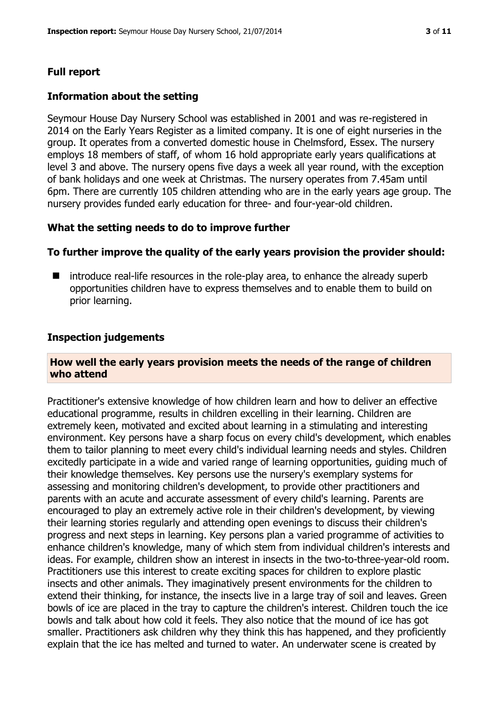# **Full report**

#### **Information about the setting**

Seymour House Day Nursery School was established in 2001 and was re-registered in 2014 on the Early Years Register as a limited company. It is one of eight nurseries in the group. It operates from a converted domestic house in Chelmsford, Essex. The nursery employs 18 members of staff, of whom 16 hold appropriate early years qualifications at level 3 and above. The nursery opens five days a week all year round, with the exception of bank holidays and one week at Christmas. The nursery operates from 7.45am until 6pm. There are currently 105 children attending who are in the early years age group. The nursery provides funded early education for three- and four-year-old children.

#### **What the setting needs to do to improve further**

#### **To further improve the quality of the early years provision the provider should:**

 $\blacksquare$  introduce real-life resources in the role-play area, to enhance the already superb opportunities children have to express themselves and to enable them to build on prior learning.

#### **Inspection judgements**

#### **How well the early years provision meets the needs of the range of children who attend**

Practitioner's extensive knowledge of how children learn and how to deliver an effective educational programme, results in children excelling in their learning. Children are extremely keen, motivated and excited about learning in a stimulating and interesting environment. Key persons have a sharp focus on every child's development, which enables them to tailor planning to meet every child's individual learning needs and styles. Children excitedly participate in a wide and varied range of learning opportunities, guiding much of their knowledge themselves. Key persons use the nursery's exemplary systems for assessing and monitoring children's development, to provide other practitioners and parents with an acute and accurate assessment of every child's learning. Parents are encouraged to play an extremely active role in their children's development, by viewing their learning stories regularly and attending open evenings to discuss their children's progress and next steps in learning. Key persons plan a varied programme of activities to enhance children's knowledge, many of which stem from individual children's interests and ideas. For example, children show an interest in insects in the two-to-three-year-old room. Practitioners use this interest to create exciting spaces for children to explore plastic insects and other animals. They imaginatively present environments for the children to extend their thinking, for instance, the insects live in a large tray of soil and leaves. Green bowls of ice are placed in the tray to capture the children's interest. Children touch the ice bowls and talk about how cold it feels. They also notice that the mound of ice has got smaller. Practitioners ask children why they think this has happened, and they proficiently explain that the ice has melted and turned to water. An underwater scene is created by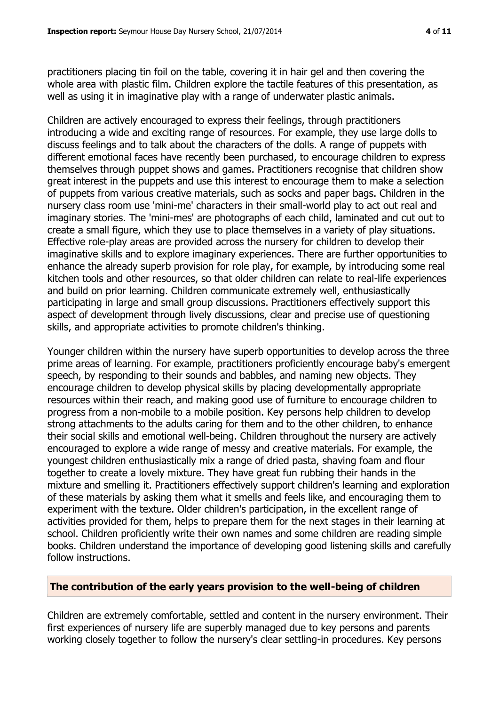practitioners placing tin foil on the table, covering it in hair gel and then covering the whole area with plastic film. Children explore the tactile features of this presentation, as well as using it in imaginative play with a range of underwater plastic animals.

Children are actively encouraged to express their feelings, through practitioners introducing a wide and exciting range of resources. For example, they use large dolls to discuss feelings and to talk about the characters of the dolls. A range of puppets with different emotional faces have recently been purchased, to encourage children to express themselves through puppet shows and games. Practitioners recognise that children show great interest in the puppets and use this interest to encourage them to make a selection of puppets from various creative materials, such as socks and paper bags. Children in the nursery class room use 'mini-me' characters in their small-world play to act out real and imaginary stories. The 'mini-mes' are photographs of each child, laminated and cut out to create a small figure, which they use to place themselves in a variety of play situations. Effective role-play areas are provided across the nursery for children to develop their imaginative skills and to explore imaginary experiences. There are further opportunities to enhance the already superb provision for role play, for example, by introducing some real kitchen tools and other resources, so that older children can relate to real-life experiences and build on prior learning. Children communicate extremely well, enthusiastically participating in large and small group discussions. Practitioners effectively support this aspect of development through lively discussions, clear and precise use of questioning skills, and appropriate activities to promote children's thinking.

Younger children within the nursery have superb opportunities to develop across the three prime areas of learning. For example, practitioners proficiently encourage baby's emergent speech, by responding to their sounds and babbles, and naming new objects. They encourage children to develop physical skills by placing developmentally appropriate resources within their reach, and making good use of furniture to encourage children to progress from a non-mobile to a mobile position. Key persons help children to develop strong attachments to the adults caring for them and to the other children, to enhance their social skills and emotional well-being. Children throughout the nursery are actively encouraged to explore a wide range of messy and creative materials. For example, the youngest children enthusiastically mix a range of dried pasta, shaving foam and flour together to create a lovely mixture. They have great fun rubbing their hands in the mixture and smelling it. Practitioners effectively support children's learning and exploration of these materials by asking them what it smells and feels like, and encouraging them to experiment with the texture. Older children's participation, in the excellent range of activities provided for them, helps to prepare them for the next stages in their learning at school. Children proficiently write their own names and some children are reading simple books. Children understand the importance of developing good listening skills and carefully follow instructions.

#### **The contribution of the early years provision to the well-being of children**

Children are extremely comfortable, settled and content in the nursery environment. Their first experiences of nursery life are superbly managed due to key persons and parents working closely together to follow the nursery's clear settling-in procedures. Key persons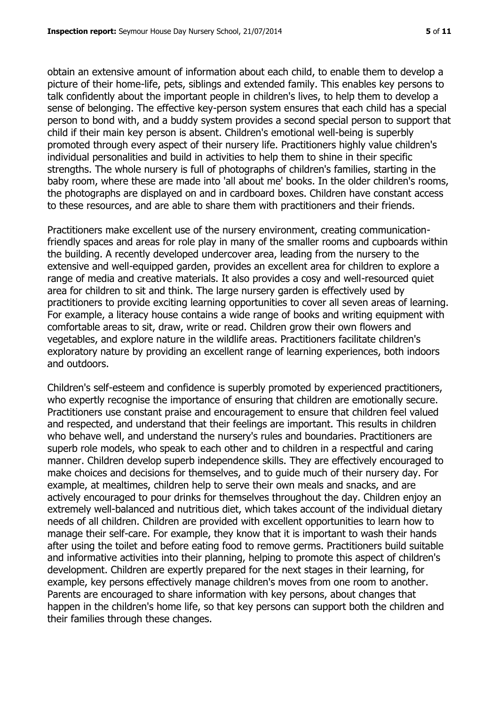obtain an extensive amount of information about each child, to enable them to develop a picture of their home-life, pets, siblings and extended family. This enables key persons to talk confidently about the important people in children's lives, to help them to develop a sense of belonging. The effective key-person system ensures that each child has a special person to bond with, and a buddy system provides a second special person to support that child if their main key person is absent. Children's emotional well-being is superbly promoted through every aspect of their nursery life. Practitioners highly value children's individual personalities and build in activities to help them to shine in their specific strengths. The whole nursery is full of photographs of children's families, starting in the baby room, where these are made into 'all about me' books. In the older children's rooms, the photographs are displayed on and in cardboard boxes. Children have constant access to these resources, and are able to share them with practitioners and their friends.

Practitioners make excellent use of the nursery environment, creating communicationfriendly spaces and areas for role play in many of the smaller rooms and cupboards within the building. A recently developed undercover area, leading from the nursery to the extensive and well-equipped garden, provides an excellent area for children to explore a range of media and creative materials. It also provides a cosy and well-resourced quiet area for children to sit and think. The large nursery garden is effectively used by practitioners to provide exciting learning opportunities to cover all seven areas of learning. For example, a literacy house contains a wide range of books and writing equipment with comfortable areas to sit, draw, write or read. Children grow their own flowers and vegetables, and explore nature in the wildlife areas. Practitioners facilitate children's exploratory nature by providing an excellent range of learning experiences, both indoors and outdoors.

Children's self-esteem and confidence is superbly promoted by experienced practitioners, who expertly recognise the importance of ensuring that children are emotionally secure. Practitioners use constant praise and encouragement to ensure that children feel valued and respected, and understand that their feelings are important. This results in children who behave well, and understand the nursery's rules and boundaries. Practitioners are superb role models, who speak to each other and to children in a respectful and caring manner. Children develop superb independence skills. They are effectively encouraged to make choices and decisions for themselves, and to guide much of their nursery day. For example, at mealtimes, children help to serve their own meals and snacks, and are actively encouraged to pour drinks for themselves throughout the day. Children enjoy an extremely well-balanced and nutritious diet, which takes account of the individual dietary needs of all children. Children are provided with excellent opportunities to learn how to manage their self-care. For example, they know that it is important to wash their hands after using the toilet and before eating food to remove germs. Practitioners build suitable and informative activities into their planning, helping to promote this aspect of children's development. Children are expertly prepared for the next stages in their learning, for example, key persons effectively manage children's moves from one room to another. Parents are encouraged to share information with key persons, about changes that happen in the children's home life, so that key persons can support both the children and their families through these changes.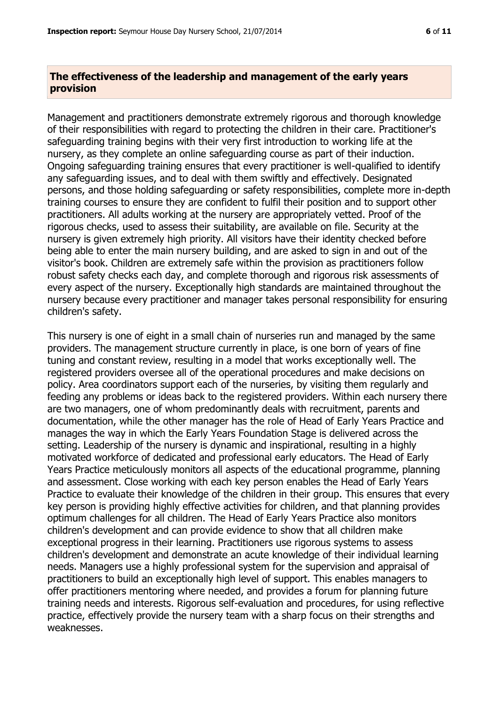# **The effectiveness of the leadership and management of the early years provision**

Management and practitioners demonstrate extremely rigorous and thorough knowledge of their responsibilities with regard to protecting the children in their care. Practitioner's safeguarding training begins with their very first introduction to working life at the nursery, as they complete an online safeguarding course as part of their induction. Ongoing safeguarding training ensures that every practitioner is well-qualified to identify any safeguarding issues, and to deal with them swiftly and effectively. Designated persons, and those holding safeguarding or safety responsibilities, complete more in-depth training courses to ensure they are confident to fulfil their position and to support other practitioners. All adults working at the nursery are appropriately vetted. Proof of the rigorous checks, used to assess their suitability, are available on file. Security at the nursery is given extremely high priority. All visitors have their identity checked before being able to enter the main nursery building, and are asked to sign in and out of the visitor's book. Children are extremely safe within the provision as practitioners follow robust safety checks each day, and complete thorough and rigorous risk assessments of every aspect of the nursery. Exceptionally high standards are maintained throughout the nursery because every practitioner and manager takes personal responsibility for ensuring children's safety.

This nursery is one of eight in a small chain of nurseries run and managed by the same providers. The management structure currently in place, is one born of years of fine tuning and constant review, resulting in a model that works exceptionally well. The registered providers oversee all of the operational procedures and make decisions on policy. Area coordinators support each of the nurseries, by visiting them regularly and feeding any problems or ideas back to the registered providers. Within each nursery there are two managers, one of whom predominantly deals with recruitment, parents and documentation, while the other manager has the role of Head of Early Years Practice and manages the way in which the Early Years Foundation Stage is delivered across the setting. Leadership of the nursery is dynamic and inspirational, resulting in a highly motivated workforce of dedicated and professional early educators. The Head of Early Years Practice meticulously monitors all aspects of the educational programme, planning and assessment. Close working with each key person enables the Head of Early Years Practice to evaluate their knowledge of the children in their group. This ensures that every key person is providing highly effective activities for children, and that planning provides optimum challenges for all children. The Head of Early Years Practice also monitors children's development and can provide evidence to show that all children make exceptional progress in their learning. Practitioners use rigorous systems to assess children's development and demonstrate an acute knowledge of their individual learning needs. Managers use a highly professional system for the supervision and appraisal of practitioners to build an exceptionally high level of support. This enables managers to offer practitioners mentoring where needed, and provides a forum for planning future training needs and interests. Rigorous self-evaluation and procedures, for using reflective practice, effectively provide the nursery team with a sharp focus on their strengths and weaknesses.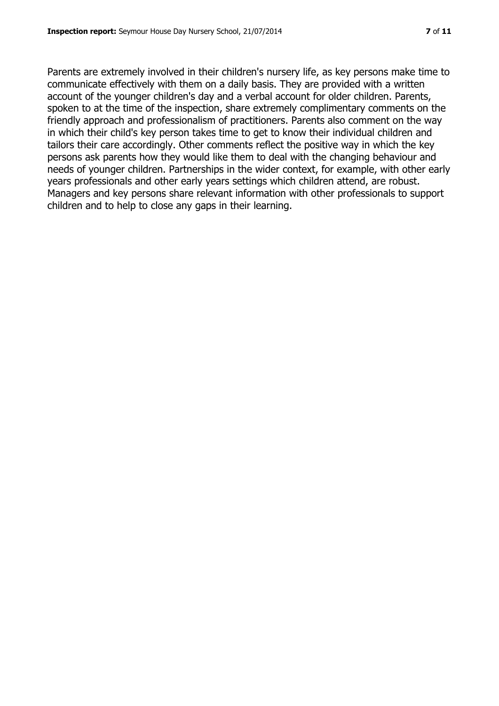Parents are extremely involved in their children's nursery life, as key persons make time to communicate effectively with them on a daily basis. They are provided with a written account of the younger children's day and a verbal account for older children. Parents, spoken to at the time of the inspection, share extremely complimentary comments on the friendly approach and professionalism of practitioners. Parents also comment on the way in which their child's key person takes time to get to know their individual children and tailors their care accordingly. Other comments reflect the positive way in which the key persons ask parents how they would like them to deal with the changing behaviour and needs of younger children. Partnerships in the wider context, for example, with other early years professionals and other early years settings which children attend, are robust. Managers and key persons share relevant information with other professionals to support children and to help to close any gaps in their learning.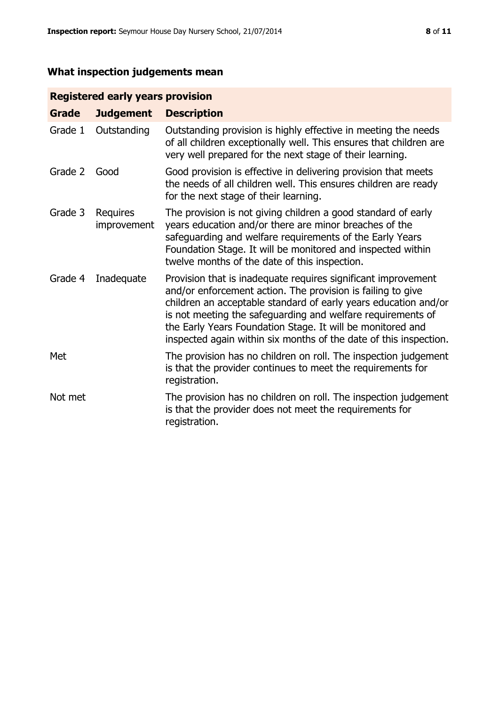# **What inspection judgements mean**

# **Registered early years provision**

| <b>Grade</b> | <b>Judgement</b>        | <b>Description</b>                                                                                                                                                                                                                                                                                                                                                                                |
|--------------|-------------------------|---------------------------------------------------------------------------------------------------------------------------------------------------------------------------------------------------------------------------------------------------------------------------------------------------------------------------------------------------------------------------------------------------|
| Grade 1      | Outstanding             | Outstanding provision is highly effective in meeting the needs<br>of all children exceptionally well. This ensures that children are<br>very well prepared for the next stage of their learning.                                                                                                                                                                                                  |
| Grade 2      | Good                    | Good provision is effective in delivering provision that meets<br>the needs of all children well. This ensures children are ready<br>for the next stage of their learning.                                                                                                                                                                                                                        |
| Grade 3      | Requires<br>improvement | The provision is not giving children a good standard of early<br>years education and/or there are minor breaches of the<br>safeguarding and welfare requirements of the Early Years<br>Foundation Stage. It will be monitored and inspected within<br>twelve months of the date of this inspection.                                                                                               |
| Grade 4      | Inadequate              | Provision that is inadequate requires significant improvement<br>and/or enforcement action. The provision is failing to give<br>children an acceptable standard of early years education and/or<br>is not meeting the safeguarding and welfare requirements of<br>the Early Years Foundation Stage. It will be monitored and<br>inspected again within six months of the date of this inspection. |
| Met          |                         | The provision has no children on roll. The inspection judgement<br>is that the provider continues to meet the requirements for<br>registration.                                                                                                                                                                                                                                                   |
| Not met      |                         | The provision has no children on roll. The inspection judgement<br>is that the provider does not meet the requirements for<br>registration.                                                                                                                                                                                                                                                       |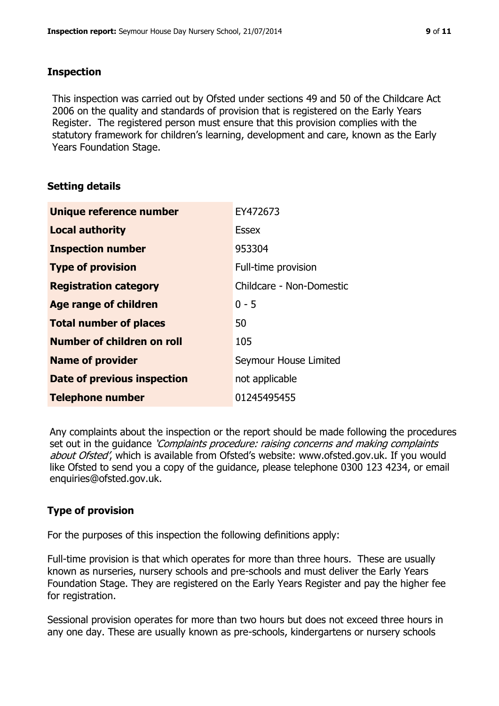#### **Inspection**

This inspection was carried out by Ofsted under sections 49 and 50 of the Childcare Act 2006 on the quality and standards of provision that is registered on the Early Years Register. The registered person must ensure that this provision complies with the statutory framework for children's learning, development and care, known as the Early Years Foundation Stage.

## **Setting details**

| Unique reference number            | EY472673                 |
|------------------------------------|--------------------------|
| <b>Local authority</b>             | <b>Essex</b>             |
| <b>Inspection number</b>           | 953304                   |
| <b>Type of provision</b>           | Full-time provision      |
| <b>Registration category</b>       | Childcare - Non-Domestic |
| Age range of children              | $0 - 5$                  |
| <b>Total number of places</b>      | 50                       |
| Number of children on roll         | 105                      |
| <b>Name of provider</b>            | Seymour House Limited    |
| <b>Date of previous inspection</b> | not applicable           |
| <b>Telephone number</b>            | 01245495455              |

Any complaints about the inspection or the report should be made following the procedures set out in the guidance *'Complaints procedure: raising concerns and making complaints* about Ofsted', which is available from Ofsted's website: www.ofsted.gov.uk. If you would like Ofsted to send you a copy of the guidance, please telephone 0300 123 4234, or email enquiries@ofsted.gov.uk.

# **Type of provision**

For the purposes of this inspection the following definitions apply:

Full-time provision is that which operates for more than three hours. These are usually known as nurseries, nursery schools and pre-schools and must deliver the Early Years Foundation Stage. They are registered on the Early Years Register and pay the higher fee for registration.

Sessional provision operates for more than two hours but does not exceed three hours in any one day. These are usually known as pre-schools, kindergartens or nursery schools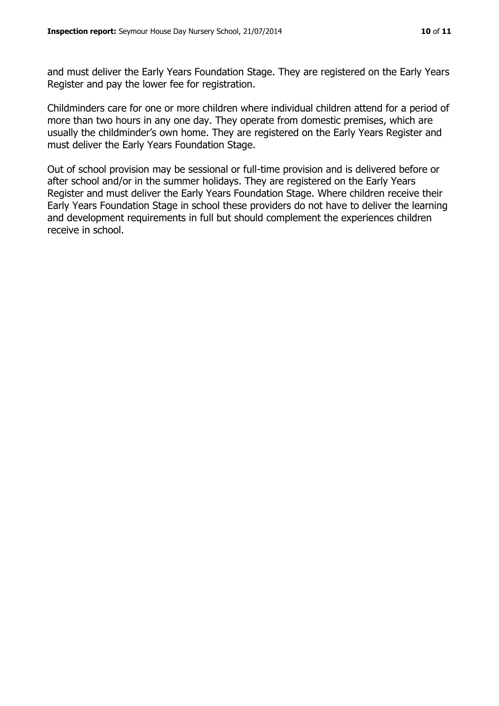and must deliver the Early Years Foundation Stage. They are registered on the Early Years Register and pay the lower fee for registration.

Childminders care for one or more children where individual children attend for a period of more than two hours in any one day. They operate from domestic premises, which are usually the childminder's own home. They are registered on the Early Years Register and must deliver the Early Years Foundation Stage.

Out of school provision may be sessional or full-time provision and is delivered before or after school and/or in the summer holidays. They are registered on the Early Years Register and must deliver the Early Years Foundation Stage. Where children receive their Early Years Foundation Stage in school these providers do not have to deliver the learning and development requirements in full but should complement the experiences children receive in school.